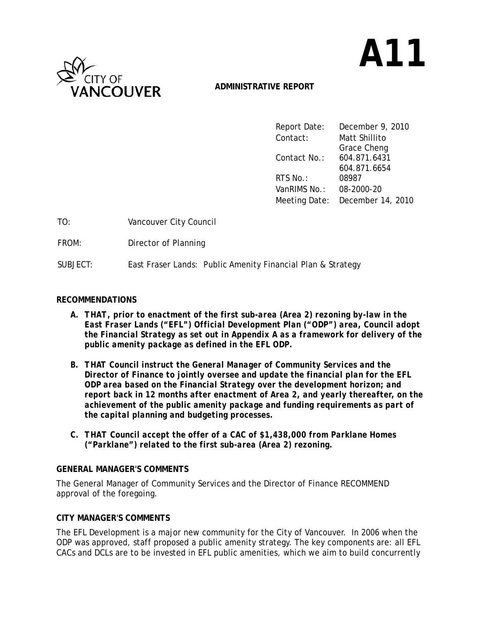

# **A11**

# **ADMINISTRATIVE REPORT**

| Report Date: | December 9, 2010                |
|--------------|---------------------------------|
| Contact:     | Matt Shillito                   |
|              | Grace Cheng                     |
| Contact No.: | 604.871.6431                    |
|              | 604.871.6654                    |
| RTS No.:     | 08987                           |
| VanRIMS No.: | 08-2000-20                      |
|              | Meeting Date: December 14, 2010 |

| TO:      | Vancouver City Council                                      |
|----------|-------------------------------------------------------------|
| FROM:    | Director of Planning                                        |
| SUBJECT: | East Fraser Lands: Public Amenity Financial Plan & Strategy |

# **RECOMMENDATIONS**

- *A. THAT, prior to enactment of the first sub-area (Area 2) rezoning by-law in the East Fraser Lands ("EFL") Official Development Plan ("ODP") area, Council adopt the Financial Strategy as set out in Appendix A as a framework for delivery of the public amenity package as defined in the EFL ODP.*
- *B. THAT Council instruct the General Manager of Community Services and the Director of Finance to jointly oversee and update the financial plan for the EFL ODP area based on the Financial Strategy over the development horizon; and report back in 12 months after enactment of Area 2, and yearly thereafter, on the achievement of the public amenity package and funding requirements as part of the capital planning and budgeting processes.*
- *C. THAT Council accept the offer of a CAC of \$1,438,000 from Parklane Homes ("Parklane") related to the first sub-area (Area 2) rezoning.*

# **GENERAL MANAGER'S COMMENTS**

The General Manager of Community Services and the Director of Finance RECOMMEND approval of the foregoing.

# **CITY MANAGER'S COMMENTS**

The EFL Development is a major new community for the City of Vancouver. In 2006 when the ODP was approved, staff proposed a public amenity strategy. The key components are: all EFL CACs and DCLs are to be invested in EFL public amenities, which we aim to build concurrently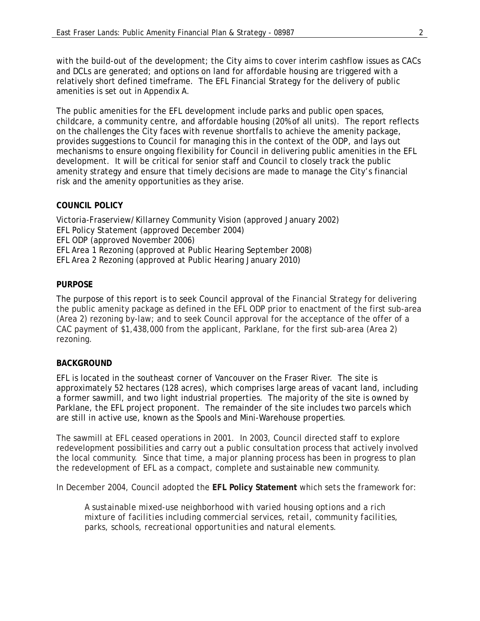with the build-out of the development; the City aims to cover interim cashflow issues as CACs and DCLs are generated; and options on land for affordable housing are triggered with a relatively short defined timeframe. The EFL Financial Strategy for the delivery of public amenities is set out in Appendix A.

The public amenities for the EFL development include parks and public open spaces, childcare, a community centre, and affordable housing (20% of all units). The report reflects on the challenges the City faces with revenue shortfalls to achieve the amenity package, provides suggestions to Council for managing this in the context of the ODP, and lays out mechanisms to ensure ongoing flexibility for Council in delivering public amenities in the EFL development. It will be critical for senior staff and Council to closely track the public amenity strategy and ensure that timely decisions are made to manage the City's financial risk and the amenity opportunities as they arise.

## **COUNCIL POLICY**

Victoria-Fraserview/Killarney Community Vision (approved January 2002) EFL Policy Statement (approved December 2004) EFL ODP (approved November 2006) EFL Area 1 Rezoning (approved at Public Hearing September 2008) EFL Area 2 Rezoning (approved at Public Hearing January 2010)

## **PURPOSE**

The purpose of this report is to seek Council approval of the Financial Strategy for delivering the public amenity package as defined in the EFL ODP prior to enactment of the first sub-area (Area 2) rezoning by-law; and to seek Council approval for the acceptance of the offer of a CAC payment of \$1,438,000 from the applicant, Parklane, for the first sub-area (Area 2) rezoning.

## **BACKGROUND**

EFL is located in the southeast corner of Vancouver on the Fraser River. The site is approximately 52 hectares (128 acres), which comprises large areas of vacant land, including a former sawmill, and two light industrial properties. The majority of the site is owned by Parklane, the EFL project proponent. The remainder of the site includes two parcels which are still in active use, known as the Spools and Mini-Warehouse properties.

The sawmill at EFL ceased operations in 2001. In 2003, Council directed staff to explore redevelopment possibilities and carry out a public consultation process that actively involved the local community. Since that time, a major planning process has been in progress to plan the redevelopment of EFL as a compact, complete and sustainable new community.

In December 2004, Council adopted the **EFL Policy Statement** which sets the framework for:

*A sustainable mixed-use neighborhood with varied housing options and a rich mixture of facilities including commercial services, retail, community facilities, parks, schools, recreational opportunities and natural elements.*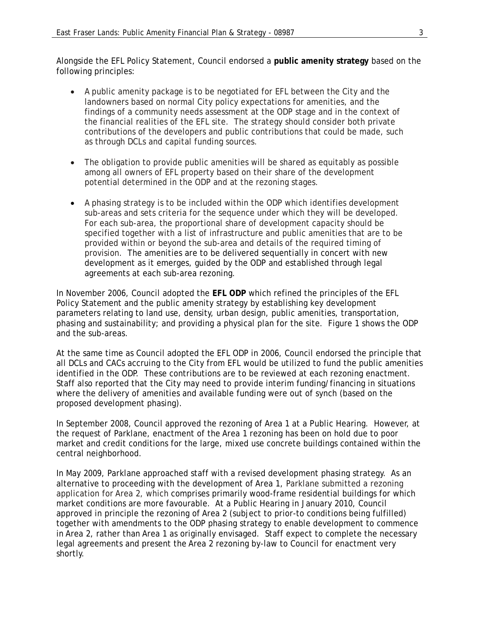Alongside the EFL Policy Statement, Council endorsed a **public amenity strategy** based on the following principles:

- A public amenity package is to be negotiated for EFL between the City and the landowners based on normal City policy expectations for amenities, and the findings of a community needs assessment at the ODP stage and in the context of the financial realities of the EFL site. The strategy should consider both private contributions of the developers and public contributions that could be made, such as through DCLs and capital funding sources.
- The obligation to provide public amenities will be shared as equitably as possible among all owners of EFL property based on their share of the development potential determined in the ODP and at the rezoning stages.
- A phasing strategy is to be included within the ODP which identifies development sub-areas and sets criteria for the sequence under which they will be developed. For each sub-area, the proportional share of development capacity should be specified together with a list of infrastructure and public amenities that are to be provided within or beyond the sub-area and details of the required timing of provision. The amenities are to be delivered sequentially in concert with new development as it emerges, guided by the ODP and established through legal agreements at each sub-area rezoning.

In November 2006, Council adopted the **EFL ODP** which refined the principles of the EFL Policy Statement and the public amenity strategy by establishing key development parameters relating to land use, density, urban design, public amenities, transportation, phasing and sustainability; and providing a physical plan for the site. Figure 1 shows the ODP and the sub-areas.

At the same time as Council adopted the EFL ODP in 2006, Council endorsed the principle that all DCLs and CACs accruing to the City from EFL would be utilized to fund the public amenities identified in the ODP. These contributions are to be reviewed at each rezoning enactment. Staff also reported that the City may need to provide interim funding/financing in situations where the delivery of amenities and available funding were out of synch (based on the proposed development phasing).

In September 2008, Council approved the rezoning of Area 1 at a Public Hearing. However, at the request of Parklane, enactment of the Area 1 rezoning has been on hold due to poor market and credit conditions for the large, mixed use concrete buildings contained within the central neighborhood.

In May 2009, Parklane approached staff with a revised development phasing strategy. As an alternative to proceeding with the development of Area 1, Parklane submitted a rezoning application for Area 2, which comprises primarily wood-frame residential buildings for which market conditions are more favourable. At a Public Hearing in January 2010, Council approved in principle the rezoning of Area 2 (subject to prior-to conditions being fulfilled) together with amendments to the ODP phasing strategy to enable development to commence in Area 2, rather than Area 1 as originally envisaged. Staff expect to complete the necessary legal agreements and present the Area 2 rezoning by-law to Council for enactment very shortly.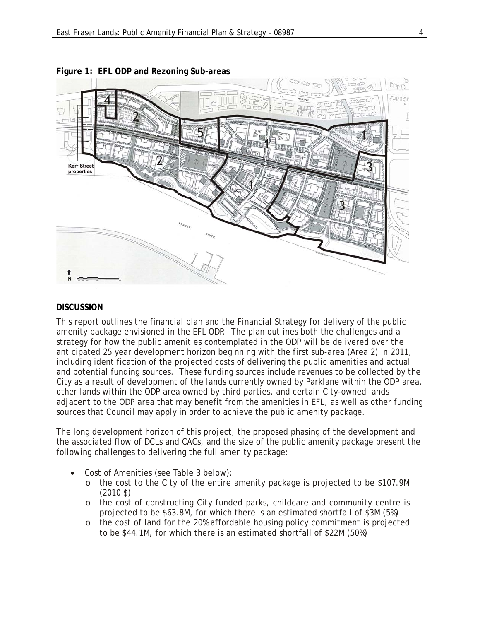

#### **Figure 1: EFL ODP and Rezoning Sub-areas**

#### **DISCUSSION**

This report outlines the financial plan and the Financial Strategy for delivery of the public amenity package envisioned in the EFL ODP. The plan outlines both the challenges and a strategy for how the public amenities contemplated in the ODP will be delivered over the anticipated 25 year development horizon beginning with the first sub-area (Area 2) in 2011, including identification of the projected costs of delivering the public amenities and actual and potential funding sources. These funding sources include revenues to be collected by the City as a result of development of the lands currently owned by Parklane within the ODP area, other lands within the ODP area owned by third parties, and certain City-owned lands adjacent to the ODP area that may benefit from the amenities in EFL, as well as other funding sources that Council may apply in order to achieve the public amenity package.

The long development horizon of this project, the proposed phasing of the development and the associated flow of DCLs and CACs, and the size of the public amenity package present the following challenges to delivering the full amenity package:

- Cost of Amenities (see Table 3 below):
	- o the cost to the City of the entire amenity package is projected to be \$107.9M (2010 \$)
	- o the cost of constructing City funded parks, childcare and community centre is projected to be \$63.8M, for which there is an estimated shortfall of \$3M (5%)
	- o the cost of land for the 20% affordable housing policy commitment is projected to be \$44.1M, for which there is an estimated shortfall of \$22M (50%)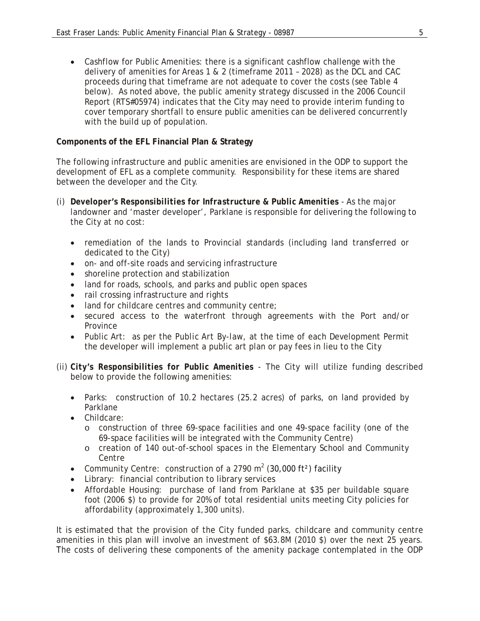Cashflow for Public Amenities: there is a significant cashflow challenge with the delivery of amenities for Areas 1 & 2 (timeframe 2011 – 2028) as the DCL and CAC proceeds during that timeframe are not adequate to cover the costs (see Table 4 below). As noted above, the public amenity strategy discussed in the 2006 Council Report (RTS#05974) indicates that the City may need to provide interim funding to cover temporary shortfall to ensure public amenities can be delivered concurrently with the build up of population.

# **Components of the EFL Financial Plan & Strategy**

The following infrastructure and public amenities are envisioned in the ODP to support the development of EFL as a complete community. Responsibility for these items are shared between the developer and the City.

- (i) *Developer's Responsibilities for Infrastructure & Public Amenities* As the major landowner and 'master developer', Parklane is responsible for delivering the following to the City at no cost:
	- remediation of the lands to Provincial standards (including land transferred or dedicated to the City)
	- on- and off-site roads and servicing infrastructure
	- shoreline protection and stabilization
	- land for roads, schools, and parks and public open spaces
	- rail crossing infrastructure and rights
	- land for childcare centres and community centre;
	- secured access to the waterfront through agreements with the Port and/or Province
	- Public Art: as per the *Public Art By-law*, at the time of each Development Permit the developer will implement a public art plan or pay fees in lieu to the City
- (ii) *City's Responsibilities for Public Amenities* The City will utilize funding described below to provide the following amenities:
	- Parks: construction of 10.2 hectares (25.2 acres) of parks, on land provided by Parklane
	- Childcare:
		- o construction of three 69-space facilities and one 49-space facility (one of the 69-space facilities will be integrated with the Community Centre)
		- o creation of 140 out-of-school spaces in the Elementary School and Community Centre
	- Community Centre: construction of a 2790 m<sup>2</sup> (30,000 ft<sup>2</sup>) facility
	- Library: financial contribution to library services
	- Affordable Housing: purchase of land from Parklane at \$35 per buildable square foot (2006 \$) to provide for 20% of total residential units meeting City policies for affordability (approximately 1,300 units).

It is estimated that the provision of the City funded parks, childcare and community centre amenities in this plan will involve an investment of \$63.8M (2010 \$) over the next 25 years. The costs of delivering these components of the amenity package contemplated in the ODP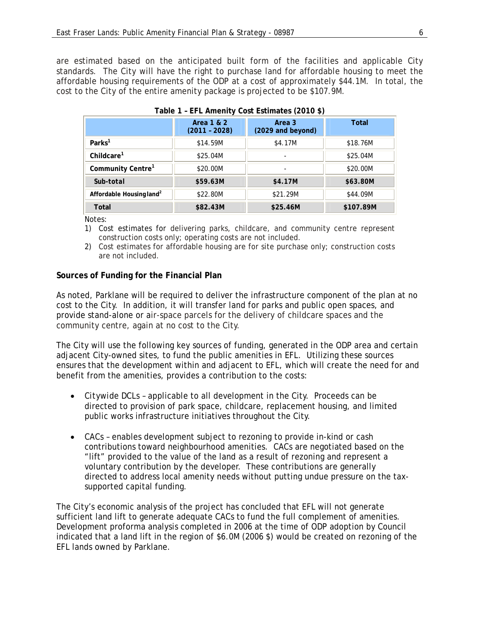are estimated based on the anticipated built form of the facilities and applicable City standards. The City will have the right to purchase land for affordable housing to meet the affordable housing requirements of the ODP at a cost of approximately \$44.1M. In total, the cost to the City of the entire amenity package is projected to be \$107.9M.

|                                      | Area 1 & 2<br>$(2011 - 2028)$ | Area 3<br>(2029 and beyond) | Total     |
|--------------------------------------|-------------------------------|-----------------------------|-----------|
| Parks <sup>1</sup>                   | \$14.59M                      | \$4.17M                     | \$18.76M  |
| Childcare <sup>1</sup>               | \$25.04M                      | ۰                           | \$25.04M  |
| Community Centre <sup>1</sup>        | \$20,00M                      |                             | \$20,00M  |
| Sub-total                            | \$59.63M                      | \$4.17M                     | \$63.80M  |
| Affordable Housing land <sup>2</sup> | \$22,80M                      | \$21.29M                    | \$44,09M  |
| Total                                | \$82.43M                      | \$25.46M                    | \$107.89M |

# **Table 1 – EFL Amenity Cost Estimates (2010 \$)**

Notes:

- 1) Cost estimates for delivering parks, childcare, and community centre represent construction costs only; operating costs are not included.
- 2) Cost estimates for affordable housing are for site purchase only; construction costs are not included.

# **Sources of Funding for the Financial Plan**

As noted, Parklane will be required to deliver the infrastructure component of the plan at no cost to the City. In addition, it will transfer land for parks and public open spaces, and provide stand-alone or air-space parcels for the delivery of childcare spaces and the community centre, again at no cost to the City.

The City will use the following key sources of funding, generated in the ODP area and certain adjacent City-owned sites, to fund the public amenities in EFL. Utilizing these sources ensures that the development within and adjacent to EFL, which will create the need for and benefit from the amenities, provides a contribution to the costs:

- *Citywide DCLs* applicable to all development in the City. Proceeds can be directed to provision of park space, childcare, replacement housing, and limited public works infrastructure initiatives throughout the City.
- *CACs* enables development subject to rezoning to provide in-kind or cash contributions toward neighbourhood amenities. CACs are negotiated based on the "lift" provided to the value of the land as a result of rezoning and represent a voluntary contribution by the developer. These contributions are generally directed to address local amenity needs without putting undue pressure on the taxsupported capital funding.

The City's economic analysis of the project has concluded that EFL will not generate sufficient land lift to generate adequate CACs to fund the full complement of amenities. Development proforma analysis completed in 2006 at the time of ODP adoption by Council indicated that a land lift in the region of \$6.0M (2006 \$) would be created on rezoning of the EFL lands owned by Parklane.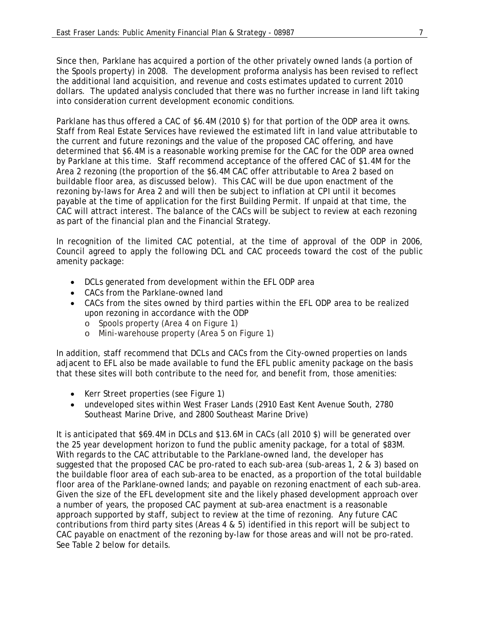Since then, Parklane has acquired a portion of the other privately owned lands (a portion of the Spools property) in 2008. The development proforma analysis has been revised to reflect the additional land acquisition, and revenue and costs estimates updated to current 2010 dollars. The updated analysis concluded that there was no further increase in land lift taking into consideration current development economic conditions.

Parklane has thus offered a CAC of \$6.4M (2010 \$) for that portion of the ODP area it owns. Staff from Real Estate Services have reviewed the estimated lift in land value attributable to the current and future rezonings and the value of the proposed CAC offering, and have determined that \$6.4M is a reasonable working premise for the CAC for the ODP area owned by Parklane at this time. Staff recommend acceptance of the offered CAC of \$1.4M for the Area 2 rezoning (the proportion of the \$6.4M CAC offer attributable to Area 2 based on buildable floor area, as discussed below). This CAC will be due upon enactment of the rezoning by-laws for Area 2 and will then be subject to inflation at CPI until it becomes payable at the time of application for the first Building Permit. If unpaid at that time, the CAC will attract interest. The balance of the CACs will be subject to review at each rezoning as part of the financial plan and the Financial Strategy.

In recognition of the limited CAC potential, at the time of approval of the ODP in 2006, Council agreed to apply the following DCL and CAC proceeds toward the cost of the public amenity package:

- DCLs generated from development within the EFL ODP area
- CACs from the Parklane-owned land
- CACs from the sites owned by third parties within the EFL ODP area to be realized upon rezoning in accordance with the ODP
	- o Spools property (Area 4 on Figure 1)
	- o Mini-warehouse property (Area 5 on Figure 1)

In addition, staff recommend that DCLs and CACs from the City-owned properties on lands adjacent to EFL also be made available to fund the EFL public amenity package on the basis that these sites will both contribute to the need for, and benefit from, those amenities:

- Kerr Street properties (see Figure 1)
- undeveloped sites within West Fraser Lands (2910 East Kent Avenue South, 2780 Southeast Marine Drive, and 2800 Southeast Marine Drive)

It is anticipated that \$69.4M in DCLs and \$13.6M in CACs (all 2010 \$) will be generated over the 25 year development horizon to fund the public amenity package, for a total of \$83M. With regards to the CAC attributable to the Parklane-owned land, the developer has suggested that the proposed CAC be pro-rated to each sub-area (sub-areas 1, 2 & 3) based on the buildable floor area of each sub-area to be enacted, as a proportion of the total buildable floor area of the Parklane-owned lands; and payable on rezoning enactment of each sub-area. Given the size of the EFL development site and the likely phased development approach over a number of years, the proposed CAC payment at sub-area enactment is a reasonable approach supported by staff, subject to review at the time of rezoning. Any future CAC contributions from third party sites (Areas 4 & 5) identified in this report will be subject to CAC payable on enactment of the rezoning by-law for those areas and will not be pro-rated. See Table 2 below for details.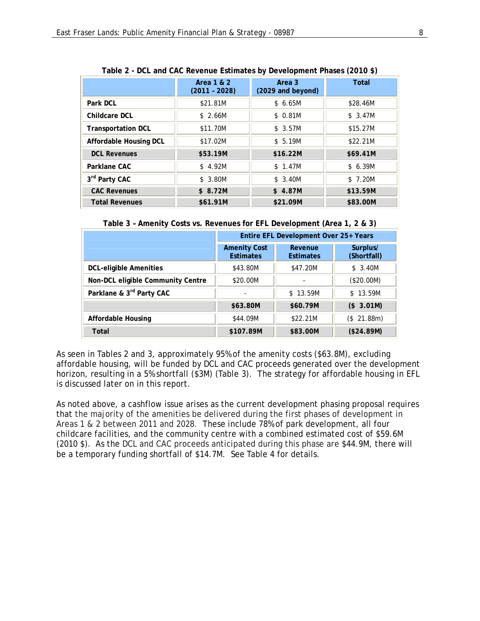| Table 2 - Doc and one neverige commetes by Development Filases (2010 V) |                               |                             |              |
|-------------------------------------------------------------------------|-------------------------------|-----------------------------|--------------|
|                                                                         | Area 1 & 2<br>$(2011 - 2028)$ | Area 3<br>(2029 and beyond) | <b>Total</b> |
| Park DCL                                                                | \$21.81M                      | \$6.65M                     | \$28.46M     |
| Childcare DCL                                                           | \$2.66M                       | \$0.81M                     | \$3.47M      |
| <b>Transportation DCL</b>                                               | \$11.70M                      | \$3.57M                     | \$15.27M     |
| Affordable Housing DCL                                                  | \$17.02M                      | \$5.19M                     | \$22.21M     |
| <b>DCL Revenues</b>                                                     | \$53.19M                      | \$16.22M                    | \$69.41M     |
| Parklane CAC                                                            | \$4.92M                       | \$1.47M                     | \$6.39M      |
| 3rd Party CAC                                                           | \$3.80M                       | \$3.40M                     | \$7.20M      |
| <b>CAC Revenues</b>                                                     | \$8.72M                       | \$4.87M                     | \$13.59M     |
| <b>Total Revenues</b>                                                   | \$61.91M                      | \$21.09M                    | \$83.00M     |

**Table 2 - DCL and CAC Revenue Estimates by Development Phases (2010 \$)** 

**Table 3 – Amenity Costs vs. Revenues for EFL Development (Area 1, 2 & 3)** 

|                                   | Entire EFL Development Over 25+ Years   |                             |                         |
|-----------------------------------|-----------------------------------------|-----------------------------|-------------------------|
|                                   | <b>Amenity Cost</b><br><b>Estimates</b> | Revenue<br><b>Estimates</b> | Surplus/<br>(Shortfall) |
| <b>DCL-eligible Amenities</b>     | \$43.80M                                | \$47.20M                    | \$3.40M                 |
| Non-DCL eligible Community Centre | \$20,00M                                |                             | (\$20.00M)              |
| Parklane & 3rd Party CAC          |                                         | \$13.59M                    | \$13.59M                |
|                                   | \$63.80M                                | \$60.79M                    | (\$3.01M)               |
| Affordable Housing                | \$44.09M                                | \$22.21M                    | (\$21.88m)              |
| Total                             | \$107.89M                               | \$83.00M                    | (\$24.89M)              |

As seen in Tables 2 and 3, approximately 95% of the amenity costs (\$63.8M), excluding affordable housing, will be funded by DCL and CAC proceeds generated over the development horizon, resulting in a 5% shortfall (\$3M) (Table 3). The strategy for affordable housing in EFL is discussed later on in this report.

As noted above, a cashflow issue arises as the current development phasing proposal requires that the majority of the amenities be delivered during the first phases of development in Areas 1 & 2 between 2011 and 2028. These include 78% of park development, all four childcare facilities, and the community centre with a combined estimated cost of \$59.6M (2010 \$). As the DCL and CAC proceeds anticipated during this phase are \$44.9M, there will be a temporary funding shortfall of \$14.7M. See Table 4 for details.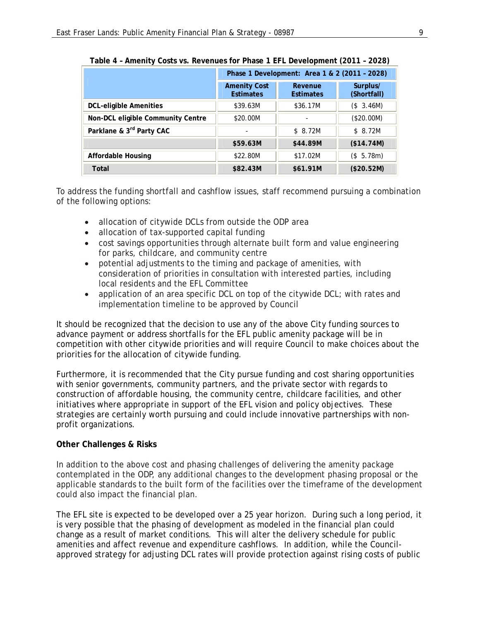|                                   | Phase 1 Development: Area 1 & 2 (2011 - 2028) |                             |                         |
|-----------------------------------|-----------------------------------------------|-----------------------------|-------------------------|
|                                   | <b>Amenity Cost</b><br><b>Estimates</b>       | Revenue<br><b>Estimates</b> | Surplus/<br>(Shortfall) |
| <b>DCL-eligible Amenities</b>     | \$39.63M                                      | \$36.17M                    | (\$3.46M)               |
| Non-DCL eligible Community Centre | \$20.00M                                      |                             | (\$20.00M)              |
| Parklane & 3rd Party CAC          |                                               | \$8.72M                     | \$8.72M                 |
|                                   | \$59.63M                                      | \$44.89M                    | (\$14.74M)              |
| <b>Affordable Housing</b>         | \$22.80M                                      | \$17.02M                    | (\$5.78m)               |
| Total                             | \$82.43M                                      | \$61.91M                    | (\$20.52M)              |

**Table 4 – Amenity Costs vs. Revenues for Phase 1 EFL Development (2011 – 2028)** 

To address the funding shortfall and cashflow issues, staff recommend pursuing a combination of the following options:

- allocation of citywide DCLs from outside the ODP area
- allocation of tax-supported capital funding
- cost savings opportunities through alternate built form and value engineering for parks, childcare, and community centre
- potential adjustments to the timing and package of amenities, with consideration of priorities in consultation with interested parties, including local residents and the EFL Committee
- application of an area specific DCL on top of the citywide DCL; with rates and implementation timeline to be approved by Council

It should be recognized that the decision to use any of the above City funding sources to advance payment or address shortfalls for the EFL public amenity package will be in competition with other citywide priorities and will require Council to make choices about the priorities for the allocation of citywide funding.

Furthermore, it is recommended that the City pursue funding and cost sharing opportunities with senior governments, community partners, and the private sector with regards to construction of affordable housing, the community centre, childcare facilities, and other initiatives where appropriate in support of the EFL vision and policy objectives. These strategies are certainly worth pursuing and could include innovative partnerships with nonprofit organizations.

# **Other Challenges & Risks**

In addition to the above cost and phasing challenges of delivering the amenity package contemplated in the ODP, any additional changes to the development phasing proposal or the applicable standards to the built form of the facilities over the timeframe of the development could also impact the financial plan.

The EFL site is expected to be developed over a 25 year horizon. During such a long period, it is very possible that the phasing of development as modeled in the financial plan could change as a result of market conditions. This will alter the delivery schedule for public amenities and affect revenue and expenditure cashflows. In addition, while the Councilapproved strategy for adjusting DCL rates will provide protection against rising costs of public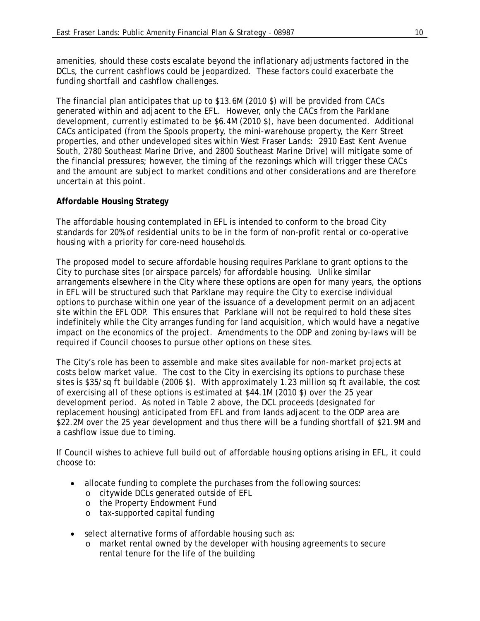amenities, should these costs escalate beyond the inflationary adjustments factored in the DCLs, the current cashflows could be jeopardized. These factors could exacerbate the funding shortfall and cashflow challenges.

The financial plan anticipates that up to \$13.6M (2010 \$) will be provided from CACs generated within and adjacent to the EFL. However, only the CACs from the Parklane development, currently estimated to be \$6.4M (2010 \$), have been documented. Additional CACs anticipated (from the Spools property, the mini-warehouse property, the Kerr Street properties, and other undeveloped sites within West Fraser Lands: 2910 East Kent Avenue South, 2780 Southeast Marine Drive, and 2800 Southeast Marine Drive) will mitigate some of the financial pressures; however, the timing of the rezonings which will trigger these CACs and the amount are subject to market conditions and other considerations and are therefore uncertain at this point.

## **Affordable Housing Strategy**

The affordable housing contemplated in EFL is intended to conform to the broad City standards for 20% of residential units to be in the form of non-profit rental or co-operative housing with a priority for core-need households.

The proposed model to secure affordable housing requires Parklane to grant options to the City to purchase sites (or airspace parcels) for affordable housing. Unlike similar arrangements elsewhere in the City where these options are open for many years, the options in EFL will be structured such that Parklane may require the City to exercise individual options to purchase within one year of the issuance of a development permit on an adjacent site within the EFL ODP. This ensures that Parklane will not be required to hold these sites indefinitely while the City arranges funding for land acquisition, which would have a negative impact on the economics of the project. Amendments to the ODP and zoning by-laws will be required if Council chooses to pursue other options on these sites.

The City's role has been to assemble and make sites available for non-market projects at costs below market value. The cost to the City in exercising its options to purchase these sites is \$35/sq ft buildable (2006 \$). With approximately 1.23 million sq ft available, the cost of exercising all of these options is estimated at \$44.1M (2010 \$) over the 25 year development period. As noted in Table 2 above, the DCL proceeds (designated for replacement housing) anticipated from EFL and from lands adjacent to the ODP area are \$22.2M over the 25 year development and thus there will be a funding shortfall of \$21.9M and a cashflow issue due to timing.

If Council wishes to achieve full build out of affordable housing options arising in EFL, it could choose to:

- allocate funding to complete the purchases from the following sources:
	- o citywide DCLs generated outside of EFL
	- o the Property Endowment Fund
	- o tax-supported capital funding
- select alternative forms of affordable housing such as:
	- o market rental owned by the developer with housing agreements to secure rental tenure for the life of the building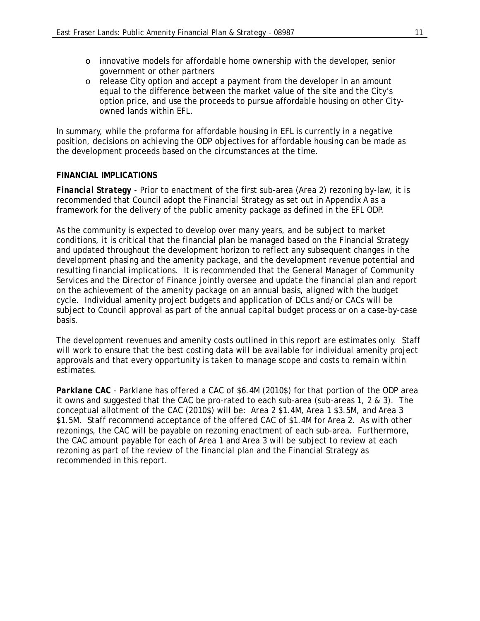- o innovative models for affordable home ownership with the developer, senior government or other partners
- o release City option and accept a payment from the developer in an amount equal to the difference between the market value of the site and the City's option price, and use the proceeds to pursue affordable housing on other Cityowned lands within EFL.

In summary, while the proforma for affordable housing in EFL is currently in a negative position, decisions on achieving the ODP objectives for affordable housing can be made as the development proceeds based on the circumstances at the time.

## **FINANCIAL IMPLICATIONS**

*Financial Strategy* - Prior to enactment of the first sub-area (Area 2) rezoning by-law, it is recommended that Council adopt the Financial Strategy as set out in Appendix A as a framework for the delivery of the public amenity package as defined in the EFL ODP.

As the community is expected to develop over many years, and be subject to market conditions, it is critical that the financial plan be managed based on the Financial Strategy and updated throughout the development horizon to reflect any subsequent changes in the development phasing and the amenity package, and the development revenue potential and resulting financial implications. It is recommended that the General Manager of Community Services and the Director of Finance jointly oversee and update the financial plan and report on the achievement of the amenity package on an annual basis, aligned with the budget cycle. Individual amenity project budgets and application of DCLs and/or CACs will be subject to Council approval as part of the annual capital budget process or on a case-by-case basis.

The development revenues and amenity costs outlined in this report are estimates only. Staff will work to ensure that the best costing data will be available for individual amenity project approvals and that every opportunity is taken to manage scope and costs to remain within estimates.

*Parklane CAC* - Parklane has offered a CAC of \$6.4M (2010\$) for that portion of the ODP area it owns and suggested that the CAC be pro-rated to each sub-area (sub-areas 1, 2 & 3). The conceptual allotment of the CAC (2010\$) will be: Area 2 \$1.4M, Area 1 \$3.5M, and Area 3 \$1.5M. Staff recommend acceptance of the offered CAC of \$1.4M for Area 2. As with other rezonings, the CAC will be payable on rezoning enactment of each sub-area. Furthermore, the CAC amount payable for each of Area 1 and Area 3 will be subject to review at each rezoning as part of the review of the financial plan and the Financial Strategy as recommended in this report.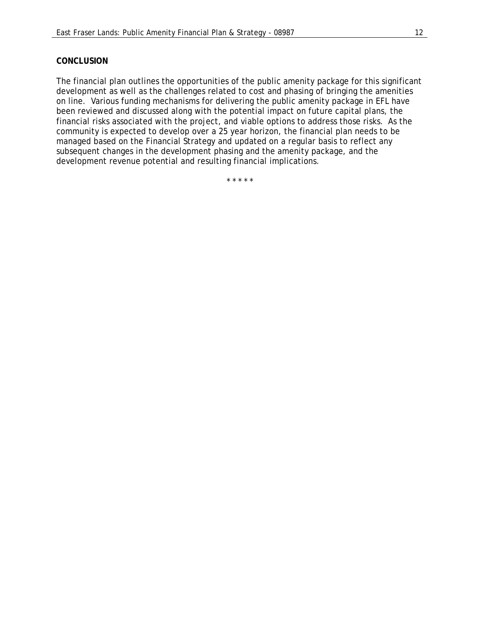## **CONCLUSION**

The financial plan outlines the opportunities of the public amenity package for this significant development as well as the challenges related to cost and phasing of bringing the amenities on line. Various funding mechanisms for delivering the public amenity package in EFL have been reviewed and discussed along with the potential impact on future capital plans, the financial risks associated with the project, and viable options to address those risks. As the community is expected to develop over a 25 year horizon, the financial plan needs to be managed based on the Financial Strategy and updated on a regular basis to reflect any subsequent changes in the development phasing and the amenity package, and the development revenue potential and resulting financial implications.

\* \* \* \* \*